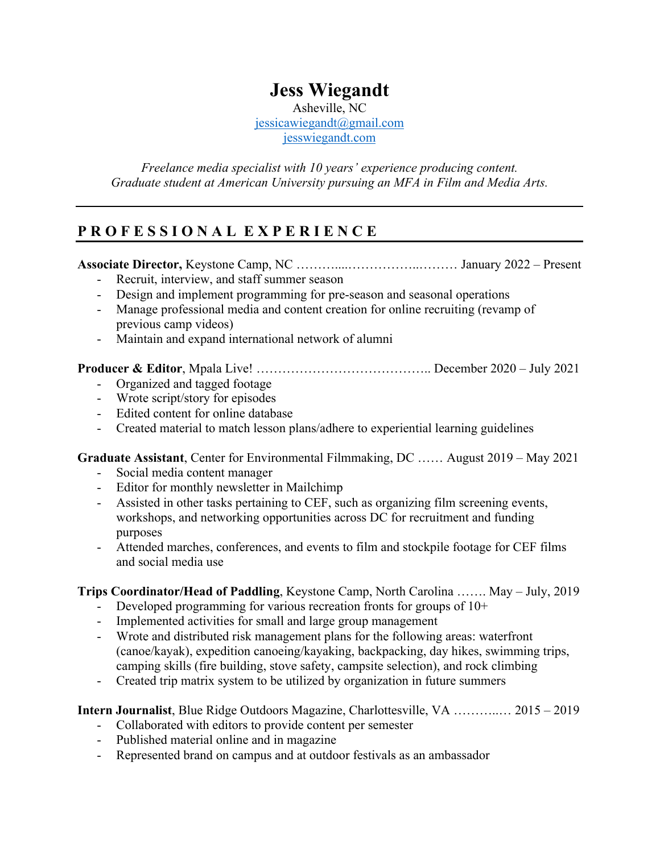# **Jess Wiegandt**

Asheville, NC jessicawiegandt@gmail.com jesswiegandt.com

*Freelance media specialist with 10 years' experience producing content. Graduate student at American University pursuing an MFA in Film and Media Arts.* 

## **P R O F E S S I O N A L E X P E R I E N C E**

**Associate Director,** Keystone Camp, NC ………....……………..……… January 2022 – Present

- Recruit, interview, and staff summer season
- Design and implement programming for pre-season and seasonal operations
- Manage professional media and content creation for online recruiting (revamp of previous camp videos)
- Maintain and expand international network of alumni

**Producer & Editor**, Mpala Live! ………………………………….. December 2020 – July 2021

- Organized and tagged footage
- Wrote script/story for episodes
- Edited content for online database
- Created material to match lesson plans/adhere to experiential learning guidelines

**Graduate Assistant**, Center for Environmental Filmmaking, DC …… August 2019 – May 2021

- Social media content manager
- Editor for monthly newsletter in Mailchimp
- Assisted in other tasks pertaining to CEF, such as organizing film screening events, workshops, and networking opportunities across DC for recruitment and funding purposes
- Attended marches, conferences, and events to film and stockpile footage for CEF films and social media use

**Trips Coordinator/Head of Paddling**, Keystone Camp, North Carolina ……. May – July, 2019

- Developed programming for various recreation fronts for groups of 10+
- Implemented activities for small and large group management
- Wrote and distributed risk management plans for the following areas: waterfront (canoe/kayak), expedition canoeing/kayaking, backpacking, day hikes, swimming trips, camping skills (fire building, stove safety, campsite selection), and rock climbing
- Created trip matrix system to be utilized by organization in future summers

#### **Intern Journalist**, Blue Ridge Outdoors Magazine, Charlottesville, VA ………..… 2015 – 2019

- Collaborated with editors to provide content per semester
- Published material online and in magazine
- Represented brand on campus and at outdoor festivals as an ambassador